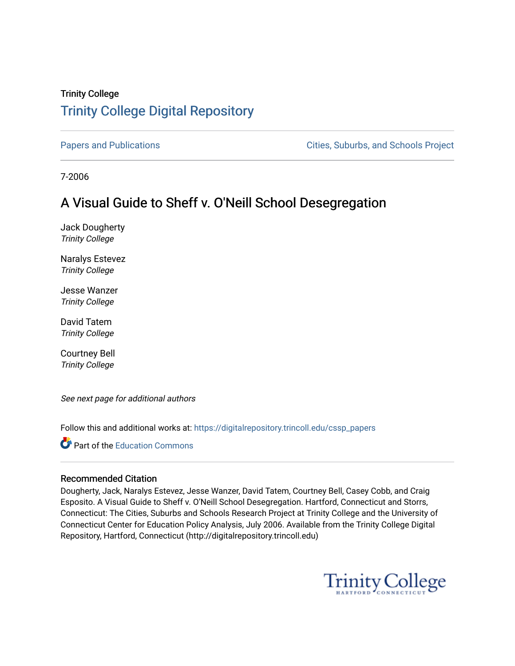## Trinity College [Trinity College Digital Repository](https://digitalrepository.trincoll.edu/)

[Papers and Publications](https://digitalrepository.trincoll.edu/cssp_papers) **Papers** and Publications **Cities**, Suburbs, and Schools Project

7-2006

# A Visual Guide to Sheff v. O'Neill School Desegregation

Jack Dougherty Trinity College

Naralys Estevez Trinity College

Jesse Wanzer Trinity College

David Tatem Trinity College

Courtney Bell Trinity College

See next page for additional authors

Follow this and additional works at: [https://digitalrepository.trincoll.edu/cssp\\_papers](https://digitalrepository.trincoll.edu/cssp_papers?utm_source=digitalrepository.trincoll.edu%2Fcssp_papers%2F7&utm_medium=PDF&utm_campaign=PDFCoverPages) 

**Part of the [Education Commons](http://network.bepress.com/hgg/discipline/784?utm_source=digitalrepository.trincoll.edu%2Fcssp_papers%2F7&utm_medium=PDF&utm_campaign=PDFCoverPages)** 

#### Recommended Citation

Dougherty, Jack, Naralys Estevez, Jesse Wanzer, David Tatem, Courtney Bell, Casey Cobb, and Craig Esposito. A Visual Guide to Sheff v. O'Neill School Desegregation. Hartford, Connecticut and Storrs, Connecticut: The Cities, Suburbs and Schools Research Project at Trinity College and the University of Connecticut Center for Education Policy Analysis, July 2006. Available from the Trinity College Digital Repository, Hartford, Connecticut (http://digitalrepository.trincoll.edu)

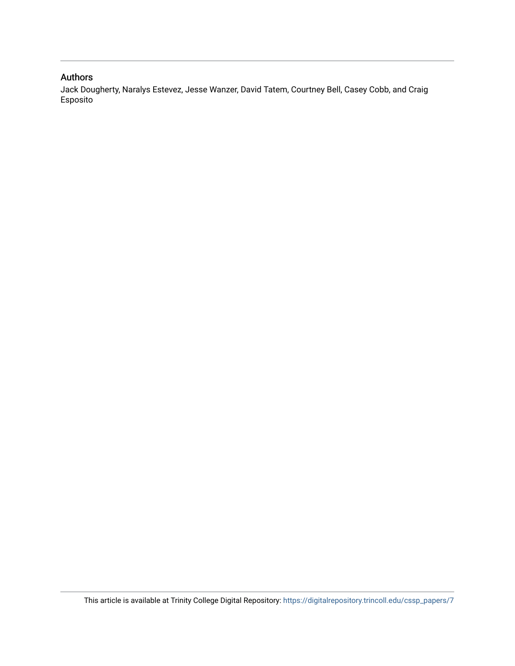### Authors

Jack Dougherty, Naralys Estevez, Jesse Wanzer, David Tatem, Courtney Bell, Casey Cobb, and Craig Esposito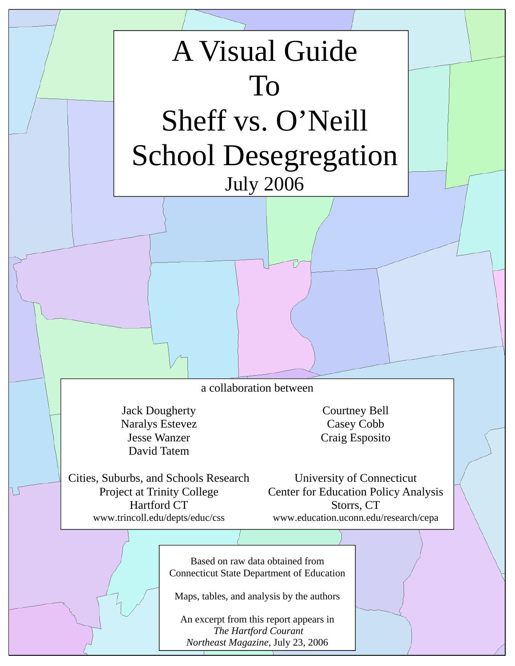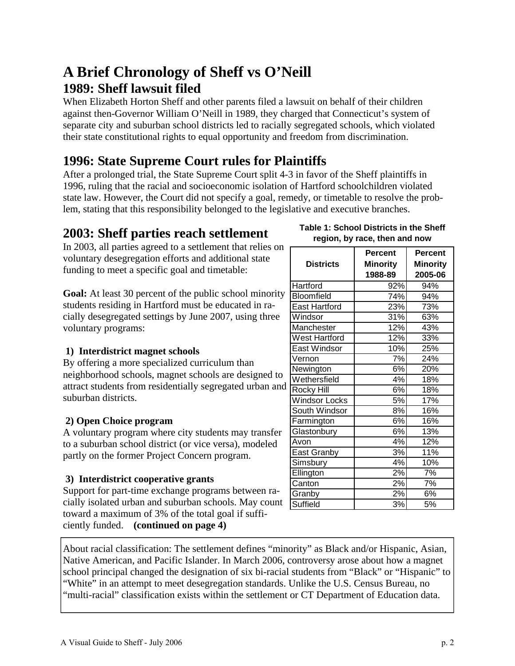# **A Brief Chronology of Sheff vs O'Neill 1989: Sheff lawsuit filed**

When Elizabeth Horton Sheff and other parents filed a lawsuit on behalf of their children against then-Governor William O'Neill in 1989, they charged that Connecticut's system of separate city and suburban school districts led to racially segregated schools, which violated their state constitutional rights to equal opportunity and freedom from discrimination.

## **1996: State Supreme Court rules for Plaintiffs**

After a prolonged trial, the State Supreme Court split 4-3 in favor of the Sheff plaintiffs in 1996, ruling that the racial and socioeconomic isolation of Hartford schoolchildren violated state law. However, the Court did not specify a goal, remedy, or timetable to resolve the problem, stating that this responsibility belonged to the legislative and executive branches.

## **2003: Sheff parties reach settlement**

In 2003, all parties agreed to a settlement that relies on voluntary desegregation efforts and additional state funding to meet a specific goal and timetable:

Goal: At least 30 percent of the public school minority students residing in Hartford must be educated in racially desegregated settings by June 2007, using three voluntary programs:

### **1) Interdistrict magnet schools**

By offering a more specialized curriculum than neighborhood schools, magnet schools are designed to attract students from residentially segregated urban and suburban districts.

### **2) Open Choice program**

A voluntary program where city students may transfer to a suburban school district (or vice versa), modeled partly on the former Project Concern program.

### **3) Interdistrict cooperative grants**

Support for part-time exchange programs between racially isolated urban and suburban schools. May count toward a maximum of 3% of the total goal if sufficiently funded. **(continued on page 4)**

#### **Table 1: School Districts in the Sheff region, by race, then and now**

| <b>Districts</b>     | <b>Percent</b><br><b>Minority</b><br>1988-89 | <b>Percent</b><br><b>Minority</b><br>2005-06 |
|----------------------|----------------------------------------------|----------------------------------------------|
| Hartford             | 92%                                          | 94%                                          |
| Bloomfield           | 74%                                          | 94%                                          |
| <b>East Hartford</b> | 23%                                          | 73%                                          |
| Windsor              | 31%                                          | 63%                                          |
| Manchester           | 12%                                          | 43%                                          |
| <b>West Hartford</b> | 12%                                          | 33%                                          |
| East Windsor         | 10%                                          | 25%                                          |
| Vernon               | 7%                                           | 24%                                          |
| Newington            | 6%                                           | 20%                                          |
| Wethersfield         | 4%                                           | 18%                                          |
| Rocky Hill           | 6%                                           | 18%                                          |
| <b>Windsor Locks</b> | 5%                                           | 17%                                          |
| South Windsor        | 8%                                           | 16%                                          |
| Farmington           | 6%                                           | 16%                                          |
| Glastonbury          | $6\%$                                        | 13%                                          |
| Avon                 | 4%                                           | 12%                                          |
| East Granby          | 3%                                           | 11%                                          |
| Simsbury             | 4%                                           | 10%                                          |
| Ellington            | 2%                                           | 7%                                           |
| Canton               | 2%                                           | 7%                                           |
| Granby               | 2%                                           | 6%                                           |
| Suffield             | 3%                                           | 5%                                           |

About racial classification: The settlement defines "minority" as Black and/or Hispanic, Asian, Native American, and Pacific Islander. In March 2006, controversy arose about how a magnet school principal changed the designation of six bi-racial students from "Black" or "Hispanic" to "White" in an attempt to meet desegregation standards. Unlike the U.S. Census Bureau, no "multi-racial" classification exists within the settlement or CT Department of Education data.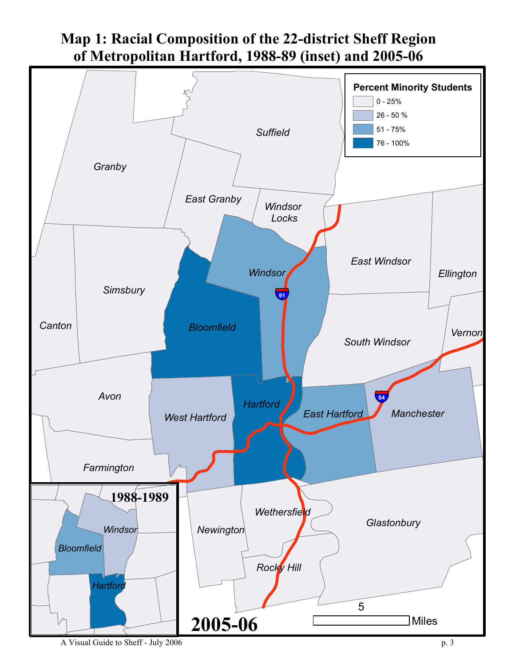

A Visual Guide to Sheff - July 2006 p. 3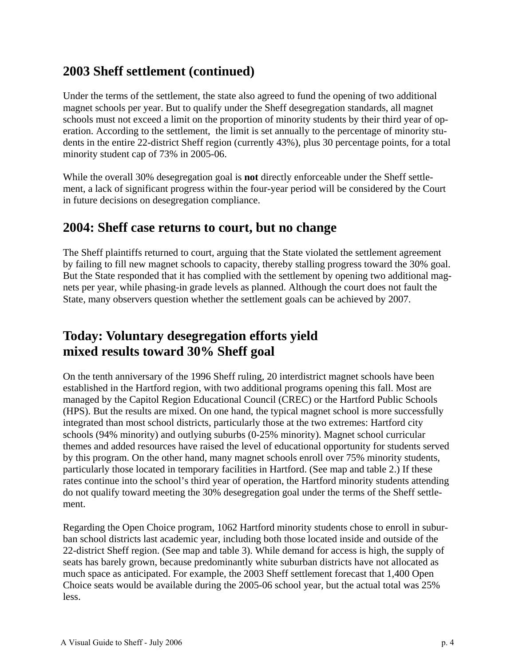## **2003 Sheff settlement (continued)**

Under the terms of the settlement, the state also agreed to fund the opening of two additional magnet schools per year. But to qualify under the Sheff desegregation standards, all magnet schools must not exceed a limit on the proportion of minority students by their third year of operation. According to the settlement, the limit is set annually to the percentage of minority students in the entire 22-district Sheff region (currently 43%), plus 30 percentage points, for a total minority student cap of 73% in 2005-06.

While the overall 30% desegregation goal is **not** directly enforceable under the Sheff settlement, a lack of significant progress within the four-year period will be considered by the Court in future decisions on desegregation compliance.

### **2004: Sheff case returns to court, but no change**

The Sheff plaintiffs returned to court, arguing that the State violated the settlement agreement by failing to fill new magnet schools to capacity, thereby stalling progress toward the 30% goal. But the State responded that it has complied with the settlement by opening two additional magnets per year, while phasing-in grade levels as planned. Although the court does not fault the State, many observers question whether the settlement goals can be achieved by 2007.

## **Today: Voluntary desegregation efforts yield mixed results toward 30% Sheff goal**

On the tenth anniversary of the 1996 Sheff ruling, 20 interdistrict magnet schools have been established in the Hartford region, with two additional programs opening this fall. Most are managed by the Capitol Region Educational Council (CREC) or the Hartford Public Schools (HPS). But the results are mixed. On one hand, the typical magnet school is more successfully integrated than most school districts, particularly those at the two extremes: Hartford city schools (94% minority) and outlying suburbs (0-25% minority). Magnet school curricular themes and added resources have raised the level of educational opportunity for students served by this program. On the other hand, many magnet schools enroll over 75% minority students, particularly those located in temporary facilities in Hartford. (See map and table 2.) If these rates continue into the school's third year of operation, the Hartford minority students attending do not qualify toward meeting the 30% desegregation goal under the terms of the Sheff settlement.

Regarding the Open Choice program, 1062 Hartford minority students chose to enroll in suburban school districts last academic year, including both those located inside and outside of the 22-district Sheff region. (See map and table 3). While demand for access is high, the supply of seats has barely grown, because predominantly white suburban districts have not allocated as much space as anticipated. For example, the 2003 Sheff settlement forecast that 1,400 Open Choice seats would be available during the 2005-06 school year, but the actual total was 25% less.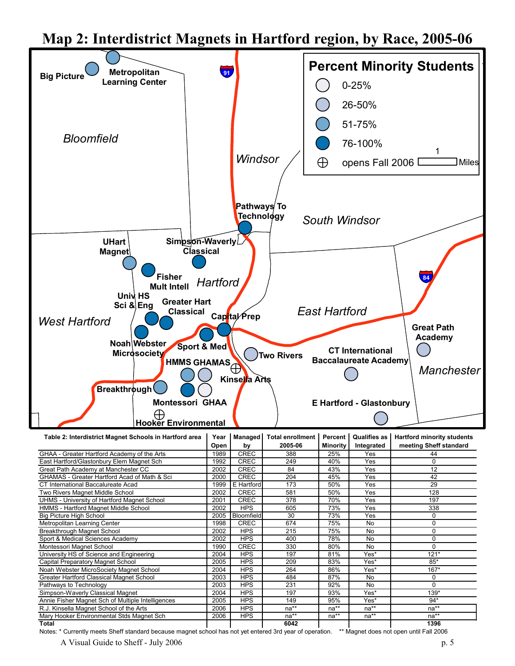# **Map 2: Interdistrict Magnets in Hartford region, by Race, 2005-06**



| Table 2: Interdistrict Magnet Schools in Hartford area |      | Managed     | <b>Total enrollment</b> | Percent  | <b>Qualifies as</b> | <b>Hartford minority students</b> |
|--------------------------------------------------------|------|-------------|-------------------------|----------|---------------------|-----------------------------------|
|                                                        | Open | by          | 2005-06                 | Minority | Integrated          | meeting Sheff standard            |
| GHAA - Greater Hartford Academy of the Arts            | 1989 | <b>CREC</b> | 388                     | 25%      | Yes                 | 44                                |
| East Hartford/Glastonbury Elem Magnet Sch              | 1992 | <b>CREC</b> | 249                     | 40%      | Yes                 | O                                 |
| Great Path Academy at Manchester CC                    | 2002 | <b>CREC</b> | 84                      | 43%      | Yes                 | 12                                |
| GHAMAS - Greater Hartford Acad of Math & Sci           | 2000 | <b>CREC</b> | 204                     | 45%      | Yes                 | 42                                |
| CT International Baccalureate Acad                     | 1999 | E Hartford  | 173                     | 50%      | Yes                 | 29                                |
| Two Rivers Magnet Middle School                        | 2002 | <b>CREC</b> | 581                     | 50%      | Yes                 | 128                               |
| UHMS - University of Hartford Magnet School            | 2001 | <b>CREC</b> | 378                     | 70%      | Yes                 | 197                               |
| HMMS - Hartford Magnet Middle School                   | 2002 | <b>HPS</b>  | 605                     | 73%      | Yes                 | 338                               |
| <b>Big Picture High School</b>                         | 2005 | Bloomfield  | 30                      | 73%      | Yes                 | 0                                 |
| Metropolitan Learning Center                           | 1998 | <b>CREC</b> | 674                     | 75%      | <b>No</b>           | 0                                 |
| Breakthrough Magnet School                             | 2002 | <b>HPS</b>  | 215                     | 75%      | <b>No</b>           | 0                                 |
| Sport & Medical Sciences Academy                       | 2002 | <b>HPS</b>  | 400                     | 78%      | <b>No</b>           | 0                                 |
| Montessori Magnet School                               | 1990 | <b>CREC</b> | 330                     | 80%      | <b>No</b>           | 0                                 |
| University HS of Science and Engineering               | 2004 | <b>HPS</b>  | 197                     | 81%      | Yes*                | $121*$                            |
| Capital Preparatory Magnet School                      | 2005 | <b>HPS</b>  | 209                     | 83%      | Yes*                | $85*$                             |
| Noah Webster MicroSociety Magnet School                | 2004 | <b>HPS</b>  | 264                     | 86%      | Yes*                | $167*$                            |
| Greater Hartford Classical Magnet School               | 2003 | <b>HPS</b>  | 484                     | 87%      | No                  | 0                                 |
| Pathways to Technology                                 | 2003 | <b>HPS</b>  | 231                     | 92%      | <b>No</b>           | $\Omega$                          |
| Simpson-Waverly Classical Magnet                       | 2004 | <b>HPS</b>  | 197                     | 93%      | Yes*                | 139*                              |
| Annie Fisher Magnet Sch of Multiple Intelligences      | 2005 | <b>HPS</b>  | 149                     | 95%      | Yes*                | $94*$                             |
| R.J. Kinsella Magnet School of the Arts                | 2006 | <b>HPS</b>  | $na**$                  | na**     | $na**$              | $na**$                            |
| Mary Hooker Environmental Stds Magnet Sch              | 2006 | <b>HPS</b>  | $na**$                  | na**     | na**                | $na**$                            |
| Total                                                  |      |             | 6042                    |          |                     | 1396                              |

Notes: \* Currently meets Sheff standard because magnet school has not yet entered 3rd year of operation. \*\* Magnet does not open until Fall 2006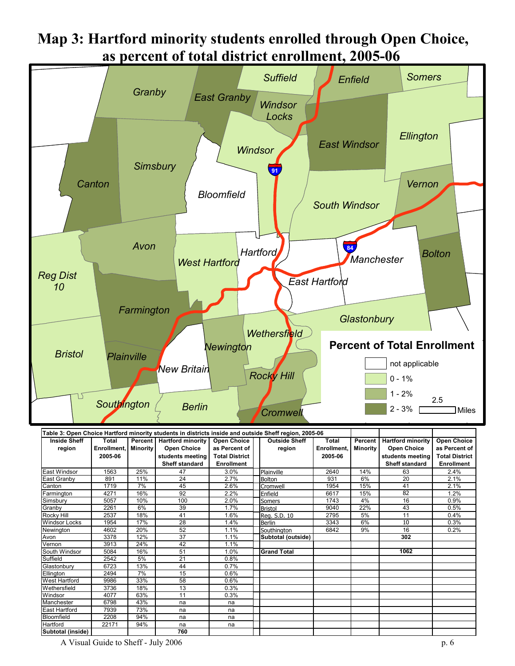

# **Map 3: Hartford minority students enrolled through Open Choice, as percent of total district enrollment, 2005-06**

| Table 3: Open Choice Hartford minority students in districts inside and outside Sheff region, 2005-06 |             |                 |                          |                       |                      |              |                 |                          |                       |
|-------------------------------------------------------------------------------------------------------|-------------|-----------------|--------------------------|-----------------------|----------------------|--------------|-----------------|--------------------------|-----------------------|
| <b>Inside Sheff</b>                                                                                   | Total       | Percent         | <b>Hartford minority</b> | <b>Open Choice</b>    | <b>Outside Sheff</b> | <b>Total</b> | Percent         | <b>Hartford minority</b> | <b>Open Choice</b>    |
| region                                                                                                | Enrollment. | <b>Minority</b> | <b>Open Choice</b>       | as Percent of         | region               | Enrollment.  | <b>Minority</b> | <b>Open Choice</b>       | as Percent of         |
|                                                                                                       | 2005-06     |                 | students meeting         | <b>Total District</b> |                      | 2005-06      |                 | students meeting         | <b>Total District</b> |
|                                                                                                       |             |                 | <b>Sheff standard</b>    | <b>Enrollment</b>     |                      |              |                 | <b>Sheff standard</b>    | <b>Enrollment</b>     |
| East Windsor                                                                                          | 1563        | 25%             | 47                       | 3.0%                  | Plainville           | 2640         | 14%             | 63                       | 2.4%                  |
| East Granbv                                                                                           | 891         | 11%             | 24                       | 2.7%                  | Bolton               | 931          | 6%              | 20                       | 2.1%                  |
| Canton                                                                                                | 1719        | 7%              | 45                       | 2.6%                  | Cromwell             | 1954         | 15%             | 41                       | 2.1%                  |
| Farmington                                                                                            | 4271        | 16%             | 92                       | 2.2%                  | Enfield              | 6617         | 15%             | 82                       | 1.2%                  |
| Simsbury                                                                                              | 5057        | 10%             | 100                      | 2.0%                  | Somers               | 1743         | 4%              | 16                       | 0.9%                  |
| Granby                                                                                                | 2261        | 6%              | 39                       | 1.7%                  | Bristol              | 9040         | 22%             | 43                       | 0.5%                  |
| Rocky Hill                                                                                            | 2537        | 18%             | 41                       | 1.6%                  | Rea. S.D. 10         | 2795         | 5%              | 11                       | 0.4%                  |
| <b>Windsor Locks</b>                                                                                  | 1954        | 17%             | 28                       | 1.4%                  | Berlin               | 3343         | 6%              | 10                       | 0.3%                  |
| Newington                                                                                             | 4602        | 20%             | 52                       | 1.1%                  | Southington          | 6842         | 9%              | 16                       | 0.2%                  |
| Avon                                                                                                  | 3378        | 12%             | 37                       | 1.1%                  | Subtotal (outside)   |              |                 | 302                      |                       |
| Vernon                                                                                                | 3913        | 24%             | 42                       | 1.1%                  |                      |              |                 |                          |                       |
| South Windsor                                                                                         | 5084        | 16%             | 51                       | 1.0%                  | <b>Grand Total</b>   |              |                 | 1062                     |                       |
| Suffield                                                                                              | 2542        | 5%              | 21                       | 0.8%                  |                      |              |                 |                          |                       |
| Glastonbury                                                                                           | 6723        | 13%             | 44                       | 0.7%                  |                      |              |                 |                          |                       |
| Ellington                                                                                             | 2494        | 7%              | 15                       | 0.6%                  |                      |              |                 |                          |                       |
| <b>West Hartford</b>                                                                                  | 9986        | 33%             | 58                       | 0.6%                  |                      |              |                 |                          |                       |
| Wethersfield                                                                                          | 3736        | 18%             | 13                       | 0.3%                  |                      |              |                 |                          |                       |
| Windsor                                                                                               | 4077        | 63%             | 11                       | 0.3%                  |                      |              |                 |                          |                       |
| Manchester                                                                                            | 6798        | 43%             | na                       | na                    |                      |              |                 |                          |                       |
| <b>East Hartford</b>                                                                                  | 7939        | 73%             | na                       | na                    |                      |              |                 |                          |                       |
| Bloomfield                                                                                            | 2208        | 94%             | na                       | na                    |                      |              |                 |                          |                       |
| Hartford                                                                                              | 22171       | 94%             | na                       | na                    |                      |              |                 |                          |                       |
| Subtotal (inside)                                                                                     |             |                 | 760                      |                       |                      |              |                 |                          |                       |

A Visual Guide to Sheff - July 2006 p. 6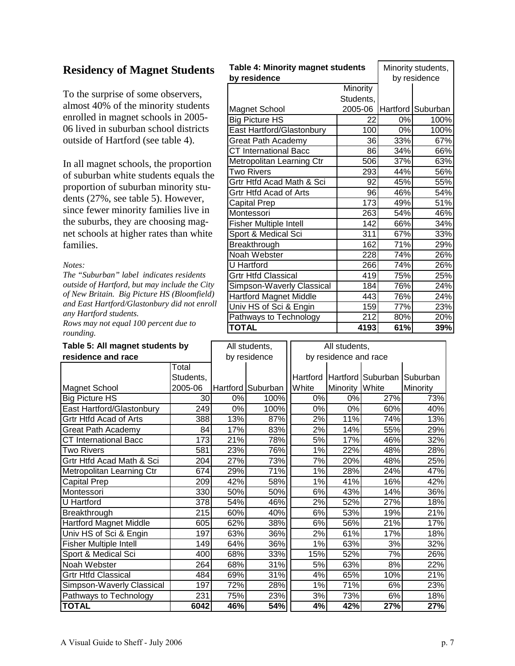### **Residency of Magnet Students**

To the surprise of some observers, almost 40% of the minority students enrolled in magnet schools in 2005- 06 lived in suburban school districts outside of Hartford (see table 4).

In all magnet schools, the proportion of suburban white students equals the proportion of suburban minority students (27%, see table 5). However, since fewer minority families live in the suburbs, they are choosing magnet schools at higher rates than white families.

#### *Notes:*

*The "Suburban" label indicates residents outside of Hartford, but may include the City of New Britain. Big Picture HS (Bloomfield) and East Hartford/Glastonbury did not enroll any Hartford students.* 

*Rows may not equal 100 percent due to rounding.* 

# **Table 5: All magnet students by**

| <b>Table 4: Minority magnet students</b> | Minority students,<br>by residence |       |                   |  |  |  |
|------------------------------------------|------------------------------------|-------|-------------------|--|--|--|
| by residence                             |                                    |       |                   |  |  |  |
|                                          | Minority                           |       |                   |  |  |  |
|                                          | Students,                          |       |                   |  |  |  |
| <b>Magnet School</b>                     | 2005-06                            |       | Hartford Suburban |  |  |  |
| <b>Big Picture HS</b>                    | 22                                 | $0\%$ | 100%              |  |  |  |
| East Hartford/Glastonbury                | 100                                | 0%    | 100%              |  |  |  |
| <b>Great Path Academy</b>                | 36                                 | 33%   | 67%               |  |  |  |
| <b>CT International Bacc</b>             | 86                                 | 34%   | 66%               |  |  |  |
| Metropolitan Learning Ctr                | 506                                | 37%   | 63%               |  |  |  |
| <b>Two Rivers</b>                        | 293                                | 44%   | 56%               |  |  |  |
| Grtr Htfd Acad Math & Sci                | 92                                 | 45%   | 55%               |  |  |  |
| <b>Grtr Htfd Acad of Arts</b>            | 96                                 | 46%   | 54%               |  |  |  |
| <b>Capital Prep</b>                      | 173                                | 49%   | 51%               |  |  |  |
| Montessori                               | 263                                | 54%   | 46%               |  |  |  |
| <b>Fisher Multiple Intell</b>            | 142                                | 66%   | 34%               |  |  |  |
| Sport & Medical Sci                      | 311                                | 67%   | 33%               |  |  |  |
| Breakthrough                             | 162                                | 71%   | 29%               |  |  |  |
| Noah Webster                             | $\overline{228}$                   | 74%   | 26%               |  |  |  |
| U Hartford                               | 266                                | 74%   | 26%               |  |  |  |
| <b>Grtr Htfd Classical</b>               | 419                                | 75%   | 25%               |  |  |  |
| Simpson-Waverly Classical                | 184                                | 76%   | 24%               |  |  |  |
| <b>Hartford Magnet Middle</b>            | 443                                | 76%   | 24%               |  |  |  |
| Univ HS of Sci & Engin                   | 159                                | 77%   | 23%               |  |  |  |
| Pathways to Technology                   | $\overline{212}$                   | 80%   | 20%               |  |  |  |
| <b>TOTAL</b>                             | 4193                               | 61%   | 39%               |  |  |  |

| Table 5: All magnet students by | All students, |              | All students,     |                       |                 |                                     |          |
|---------------------------------|---------------|--------------|-------------------|-----------------------|-----------------|-------------------------------------|----------|
| residence and race              |               | by residence |                   | by residence and race |                 |                                     |          |
|                                 | Total         |              |                   |                       |                 |                                     |          |
|                                 | Students,     |              |                   |                       |                 | Hartford Hartford Suburban Suburban |          |
| <b>Magnet School</b>            | 2005-06       |              | Hartford Suburban | White                 | <b>Minority</b> | White                               | Minority |
| <b>Big Picture HS</b>           | 30            | 0%           | 100%              | 0%                    | $0\%$           | 27%                                 | 73%      |
| East Hartford/Glastonbury       | 249           | 0%           | 100%              | 0%                    | 0%              | 60%                                 | 40%      |
| Grtr Htfd Acad of Arts          | 388           | 13%          | 87%               | 2%                    | 11%             | 74%                                 | 13%      |
| Great Path Academy              | 84            | 17%          | 83%               | $\overline{2\%}$      | 14%             | 55%                                 | 29%      |
| <b>CT International Bacc</b>    | 173           | 21%          | 78%               | 5%                    | 17%             | 46%                                 | 32%      |
| Two Rivers                      | 581           | 23%          | 76%               | 1%                    | 22%             | 48%                                 | 28%      |
| Grtr Htfd Acad Math & Sci       | 204           | 27%          | 73%               | 7%                    | 20%             | 48%                                 | 25%      |
| Metropolitan Learning Ctr       | 674           | 29%          | 71%               | 1%                    | 28%             | 24%                                 | 47%      |
| Capital Prep                    | 209           | 42%          | 58%               | 1%                    | 41%             | 16%                                 | 42%      |
| Montessori                      | 330           | 50%          | 50%               | 6%                    | 43%             | 14%                                 | 36%      |
| U Hartford                      | 378           | 54%          | 46%               | 2%                    | 52%             | 27%                                 | 18%      |
| <b>Breakthrough</b>             | 215           | 60%          | 40%               | 6%                    | 53%             | 19%                                 | 21%      |
| <b>Hartford Magnet Middle</b>   | 605           | 62%          | 38%               | 6%                    | 56%             | 21%                                 | 17%      |
| Univ HS of Sci & Engin          | 197           | 63%          | 36%               | 2%                    | 61%             | 17%                                 | 18%      |
| <b>Fisher Multiple Intell</b>   | 149           | 64%          | 36%               | 1%                    | 63%             | 3%                                  | 32%      |
| Sport & Medical Sci             | 400           | 68%          | 33%               | 15%                   | 52%             | 7%                                  | 26%      |
| Noah Webster                    | 264           | 68%          | 31%               | 5%                    | 63%             | 8%                                  | 22%      |
| <b>Grtr Htfd Classical</b>      | 484           | 69%          | 31%               | 4%                    | 65%             | 10%                                 | 21%      |
| Simpson-Waverly Classical       | 197           | 72%          | 28%               | 1%                    | 71%             | 6%                                  | 23%      |
| Pathways to Technology          | 231           | 75%          | 23%               | 3%                    | 73%             | 6%                                  | 18%      |
| <b>TOTAL</b>                    | 6042          | 46%          | 54%               | 4%                    | 42%             | 27%                                 | 27%      |